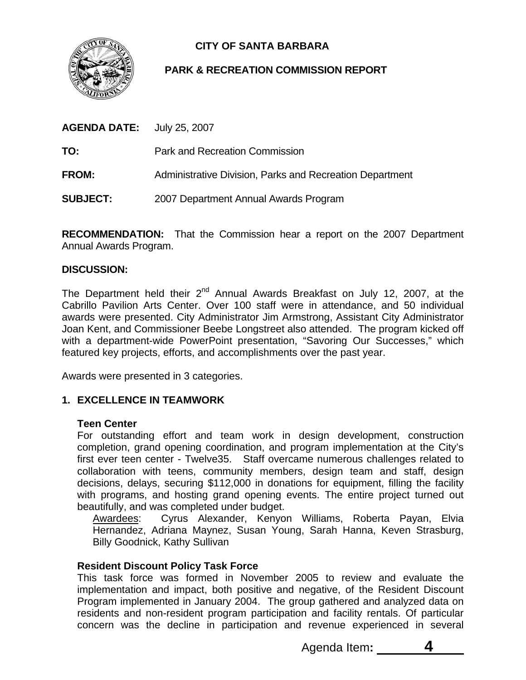

# **CITY OF SANTA BARBARA**

# **PARK & RECREATION COMMISSION REPORT**

| <b>AGENDA DATE:</b> July 25, 2007 |                                                          |
|-----------------------------------|----------------------------------------------------------|
| TO:                               | <b>Park and Recreation Commission</b>                    |
| <b>FROM:</b>                      | Administrative Division, Parks and Recreation Department |
| <b>SUBJECT:</b>                   | 2007 Department Annual Awards Program                    |

**RECOMMENDATION:** That the Commission hear a report on the 2007 Department Annual Awards Program.

#### **DISCUSSION:**

The Department held their  $2^{nd}$  Annual Awards Breakfast on July 12, 2007, at the Cabrillo Pavilion Arts Center. Over 100 staff were in attendance, and 50 individual awards were presented. City Administrator Jim Armstrong, Assistant City Administrator Joan Kent, and Commissioner Beebe Longstreet also attended. The program kicked off with a department-wide PowerPoint presentation, "Savoring Our Successes," which featured key projects, efforts, and accomplishments over the past year.

Awards were presented in 3 categories.

# **1. EXCELLENCE IN TEAMWORK**

#### **Teen Center**

For outstanding effort and team work in design development, construction completion, grand opening coordination, and program implementation at the City's first ever teen center - Twelve35. Staff overcame numerous challenges related to collaboration with teens, community members, design team and staff, design decisions, delays, securing \$112,000 in donations for equipment, filling the facility with programs, and hosting grand opening events. The entire project turned out beautifully, and was completed under budget.

Awardees: Cyrus Alexander, Kenyon Williams, Roberta Payan, Elvia Hernandez, Adriana Maynez, Susan Young, Sarah Hanna, Keven Strasburg, Billy Goodnick, Kathy Sullivan

#### **Resident Discount Policy Task Force**

This task force was formed in November 2005 to review and evaluate the implementation and impact, both positive and negative, of the Resident Discount Program implemented in January 2004. The group gathered and analyzed data on residents and non-resident program participation and facility rentals. Of particular concern was the decline in participation and revenue experienced in several

Agenda Item: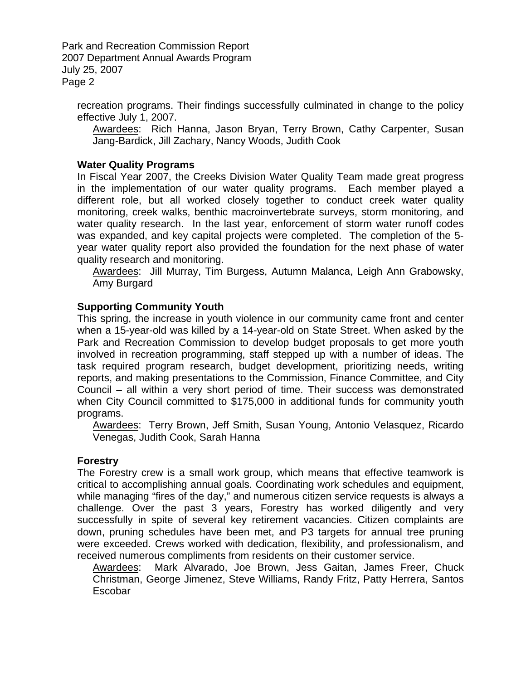Park and Recreation Commission Report 2007 Department Annual Awards Program July 25, 2007 Page 2

recreation programs. Their findings successfully culminated in change to the policy effective July 1, 2007.

Awardees: Rich Hanna, Jason Bryan, Terry Brown, Cathy Carpenter, Susan Jang-Bardick, Jill Zachary, Nancy Woods, Judith Cook

# **Water Quality Programs**

In Fiscal Year 2007, the Creeks Division Water Quality Team made great progress in the implementation of our water quality programs. Each member played a different role, but all worked closely together to conduct creek water quality monitoring, creek walks, benthic macroinvertebrate surveys, storm monitoring, and water quality research. In the last year, enforcement of storm water runoff codes was expanded, and key capital projects were completed. The completion of the 5 year water quality report also provided the foundation for the next phase of water quality research and monitoring.

Awardees: Jill Murray, Tim Burgess, Autumn Malanca, Leigh Ann Grabowsky, Amy Burgard

#### **Supporting Community Youth**

This spring, the increase in youth violence in our community came front and center when a 15-year-old was killed by a 14-year-old on State Street. When asked by the Park and Recreation Commission to develop budget proposals to get more youth involved in recreation programming, staff stepped up with a number of ideas. The task required program research, budget development, prioritizing needs, writing reports, and making presentations to the Commission, Finance Committee, and City Council – all within a very short period of time. Their success was demonstrated when City Council committed to \$175,000 in additional funds for community youth programs.

Awardees: Terry Brown, Jeff Smith, Susan Young, Antonio Velasquez, Ricardo Venegas, Judith Cook, Sarah Hanna

#### **Forestry**

The Forestry crew is a small work group, which means that effective teamwork is critical to accomplishing annual goals. Coordinating work schedules and equipment, while managing "fires of the day," and numerous citizen service requests is always a challenge. Over the past 3 years, Forestry has worked diligently and very successfully in spite of several key retirement vacancies. Citizen complaints are down, pruning schedules have been met, and P3 targets for annual tree pruning were exceeded. Crews worked with dedication, flexibility, and professionalism, and received numerous compliments from residents on their customer service.

Awardees: Mark Alvarado, Joe Brown, Jess Gaitan, James Freer, Chuck Christman, George Jimenez, Steve Williams, Randy Fritz, Patty Herrera, Santos Escobar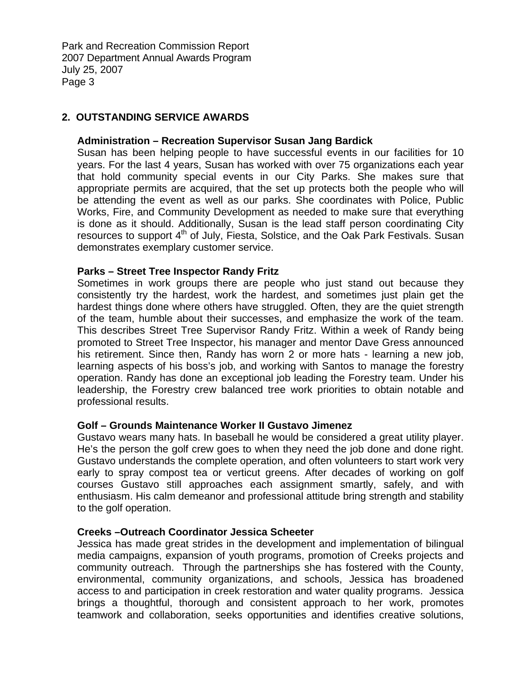Park and Recreation Commission Report 2007 Department Annual Awards Program July 25, 2007 Page 3

# **2. OUTSTANDING SERVICE AWARDS**

#### **Administration – Recreation Supervisor Susan Jang Bardick**

Susan has been helping people to have successful events in our facilities for 10 years. For the last 4 years, Susan has worked with over 75 organizations each year that hold community special events in our City Parks. She makes sure that appropriate permits are acquired, that the set up protects both the people who will be attending the event as well as our parks. She coordinates with Police, Public Works, Fire, and Community Development as needed to make sure that everything is done as it should. Additionally, Susan is the lead staff person coordinating City resources to support 4<sup>th</sup> of July, Fiesta, Solstice, and the Oak Park Festivals. Susan demonstrates exemplary customer service.

#### **Parks – Street Tree Inspector Randy Fritz**

Sometimes in work groups there are people who just stand out because they consistently try the hardest, work the hardest, and sometimes just plain get the hardest things done where others have struggled. Often, they are the quiet strength of the team, humble about their successes, and emphasize the work of the team. This describes Street Tree Supervisor Randy Fritz. Within a week of Randy being promoted to Street Tree Inspector, his manager and mentor Dave Gress announced his retirement. Since then, Randy has worn 2 or more hats - learning a new job, learning aspects of his boss's job, and working with Santos to manage the forestry operation. Randy has done an exceptional job leading the Forestry team. Under his leadership, the Forestry crew balanced tree work priorities to obtain notable and professional results.

#### **Golf – Grounds Maintenance Worker II Gustavo Jimenez**

Gustavo wears many hats. In baseball he would be considered a great utility player. He's the person the golf crew goes to when they need the job done and done right. Gustavo understands the complete operation, and often volunteers to start work very early to spray compost tea or verticut greens. After decades of working on golf courses Gustavo still approaches each assignment smartly, safely, and with enthusiasm. His calm demeanor and professional attitude bring strength and stability to the golf operation.

#### **Creeks –Outreach Coordinator Jessica Scheeter**

Jessica has made great strides in the development and implementation of bilingual media campaigns, expansion of youth programs, promotion of Creeks projects and community outreach. Through the partnerships she has fostered with the County, environmental, community organizations, and schools, Jessica has broadened access to and participation in creek restoration and water quality programs. Jessica brings a thoughtful, thorough and consistent approach to her work, promotes teamwork and collaboration, seeks opportunities and identifies creative solutions,